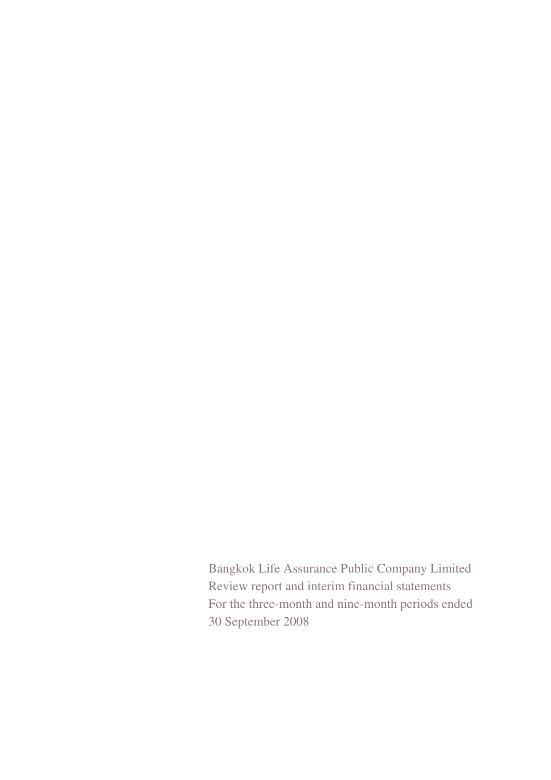Bangkok Life Assurance Public Company Limited Review report and interim financial statements For the three-month and nine-month periods ended 30 September 2008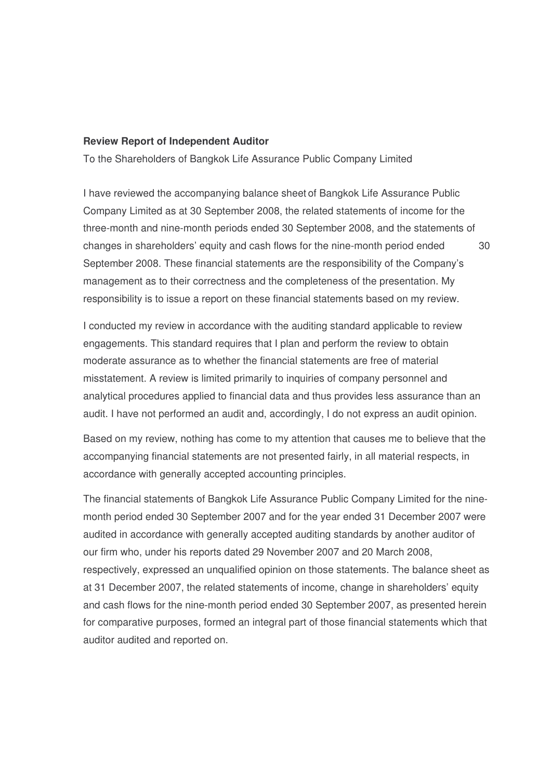#### **Review Report of Independent Auditor**

To the Shareholders of Bangkok Life Assurance Public Company Limited

I have reviewed the accompanying balance sheet of Bangkok Life Assurance Public Company Limited as at 30 September 2008, the related statements of income for the three-month and nine-month periods ended 30 September 2008, and the statements of changes in shareholders' equity and cash flows for the nine-month period ended 30 September 2008. These financial statements are the responsibility of the Company's management as to their correctness and the completeness of the presentation. My responsibility is to issue a report on these financial statements based on my review.

I conducted my review in accordance with the auditing standard applicable to review engagements. This standard requires that I plan and perform the review to obtain moderate assurance as to whether the financial statements are free of material misstatement. A review is limited primarily to inquiries of company personnel and analytical procedures applied to financial data and thus provides less assurance than an audit. I have not performed an audit and, accordingly, I do not express an audit opinion.

Based on my review, nothing has come to my attention that causes me to believe that the accompanying financial statements are not presented fairly, in all material respects, in accordance with generally accepted accounting principles.

The financial statements of Bangkok Life Assurance Public Company Limited for the ninemonth period ended 30 September 2007 and for the year ended 31 December 2007 were audited in accordance with generally accepted auditing standards by another auditor of our firm who, under his reports dated 29 November 2007 and 20 March 2008, respectively, expressed an unqualified opinion on those statements. The balance sheet as at 31 December 2007, the related statements of income, change in shareholders' equity and cash flows for the nine-month period ended 30 September 2007, as presented herein for comparative purposes, formed an integral part of those financial statements which that auditor audited and reported on.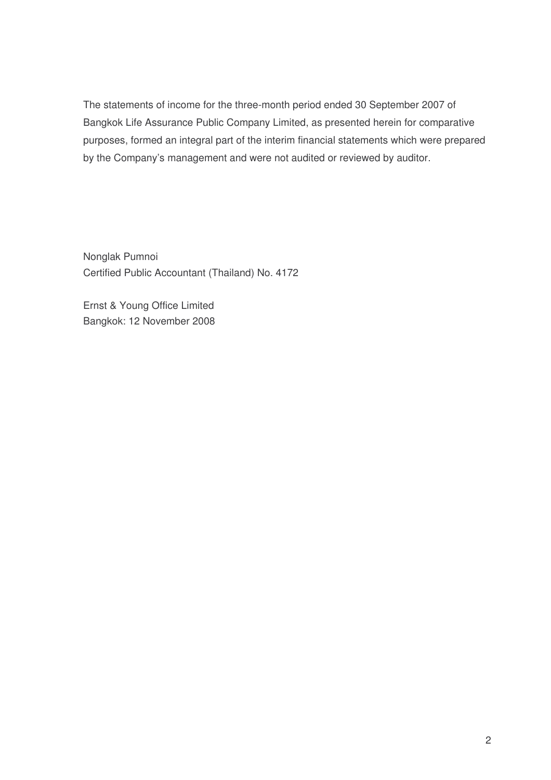The statements of income for the three-month period ended 30 September 2007 of Bangkok Life Assurance Public Company Limited, as presented herein for comparative purposes, formed an integral part of the interim financial statements which were prepared by the Company's management and were not audited or reviewed by auditor.

Nonglak Pumnoi Certified Public Accountant (Thailand) No. 4172

Ernst & Young Office Limited Bangkok: 12 November 2008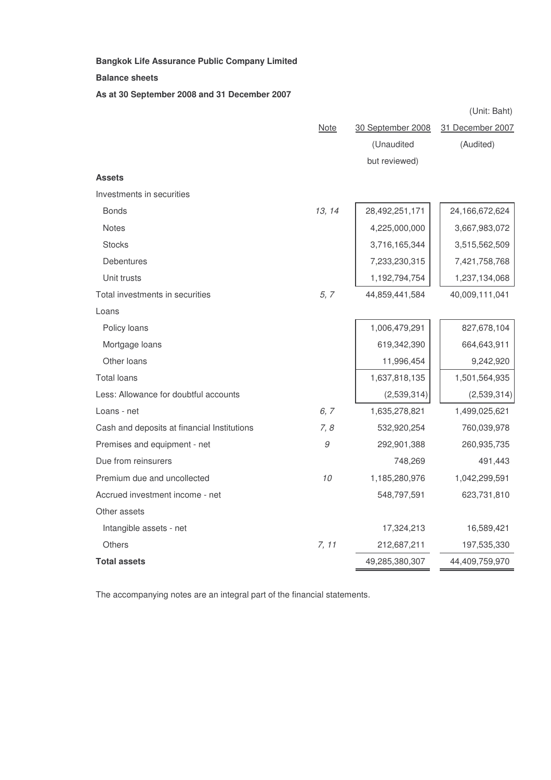**Balance sheets**

**As at 30 September 2008 and 31 December 2007**

|                                             |             |                   | (Unit: Baht)     |
|---------------------------------------------|-------------|-------------------|------------------|
|                                             | <b>Note</b> | 30 September 2008 | 31 December 2007 |
|                                             |             | (Unaudited        | (Audited)        |
|                                             |             | but reviewed)     |                  |
| <b>Assets</b>                               |             |                   |                  |
| Investments in securities                   |             |                   |                  |
| <b>Bonds</b>                                | 13, 14      | 28,492,251,171    | 24,166,672,624   |
| <b>Notes</b>                                |             | 4,225,000,000     | 3,667,983,072    |
| <b>Stocks</b>                               |             | 3,716,165,344     | 3,515,562,509    |
| <b>Debentures</b>                           |             | 7,233,230,315     | 7,421,758,768    |
| Unit trusts                                 |             | 1,192,794,754     | 1,237,134,068    |
| Total investments in securities             | 5, 7        | 44,859,441,584    | 40,009,111,041   |
| Loans                                       |             |                   |                  |
| Policy loans                                |             | 1,006,479,291     | 827,678,104      |
| Mortgage loans                              |             | 619,342,390       | 664,643,911      |
| Other loans                                 |             | 11,996,454        | 9,242,920        |
| <b>Total loans</b>                          |             | 1,637,818,135     | 1,501,564,935    |
| Less: Allowance for doubtful accounts       |             | (2,539,314)       | (2,539,314)      |
| Loans - net                                 | 6, 7        | 1,635,278,821     | 1,499,025,621    |
| Cash and deposits at financial Institutions | 7, 8        | 532,920,254       | 760,039,978      |
| Premises and equipment - net                | 9           | 292,901,388       | 260,935,735      |
| Due from reinsurers                         |             | 748,269           | 491,443          |
| Premium due and uncollected                 | 10          | 1,185,280,976     | 1,042,299,591    |
| Accrued investment income - net             |             | 548,797,591       | 623,731,810      |
| Other assets                                |             |                   |                  |
| Intangible assets - net                     |             | 17,324,213        | 16,589,421       |
| <b>Others</b>                               | 7, 11       | 212,687,211       | 197,535,330      |
| <b>Total assets</b>                         |             | 49,285,380,307    | 44,409,759,970   |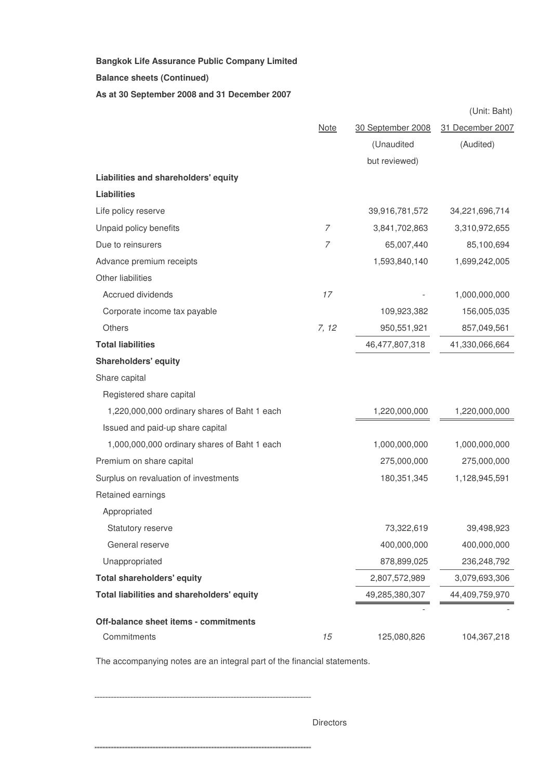**Balance sheets (Continued)**

**As at 30 September 2008 and 31 December 2007**

|                                              |                |                   | (Unit: Baht)     |
|----------------------------------------------|----------------|-------------------|------------------|
|                                              | <b>Note</b>    | 30 September 2008 | 31 December 2007 |
|                                              |                | (Unaudited        | (Audited)        |
|                                              |                | but reviewed)     |                  |
| Liabilities and shareholders' equity         |                |                   |                  |
| <b>Liabilities</b>                           |                |                   |                  |
| Life policy reserve                          |                | 39,916,781,572    | 34,221,696,714   |
| Unpaid policy benefits                       | $\overline{7}$ | 3,841,702,863     | 3,310,972,655    |
| Due to reinsurers                            | $\overline{7}$ | 65,007,440        | 85,100,694       |
| Advance premium receipts                     |                | 1,593,840,140     | 1,699,242,005    |
| Other liabilities                            |                |                   |                  |
| Accrued dividends                            | 17             |                   | 1,000,000,000    |
| Corporate income tax payable                 |                | 109,923,382       | 156,005,035      |
| <b>Others</b>                                | 7, 12          | 950,551,921       | 857,049,561      |
| <b>Total liabilities</b>                     |                | 46,477,807,318    | 41,330,066,664   |
| <b>Shareholders' equity</b>                  |                |                   |                  |
| Share capital                                |                |                   |                  |
| Registered share capital                     |                |                   |                  |
| 1,220,000,000 ordinary shares of Baht 1 each |                | 1,220,000,000     | 1,220,000,000    |
| Issued and paid-up share capital             |                |                   |                  |
| 1,000,000,000 ordinary shares of Baht 1 each |                | 1,000,000,000     | 1,000,000,000    |
| Premium on share capital                     |                | 275,000,000       | 275,000,000      |
| Surplus on revaluation of investments        |                | 180,351,345       | 1,128,945,591    |
| Retained earnings                            |                |                   |                  |
| Appropriated                                 |                |                   |                  |
| <b>Statutory reserve</b>                     |                | 73,322,619        | 39,498,923       |
| General reserve                              |                | 400,000,000       | 400,000,000      |
| Unappropriated                               |                | 878,899,025       | 236,248,792      |
| <b>Total shareholders' equity</b>            |                | 2,807,572,989     | 3,079,693,306    |
| Total liabilities and shareholders' equity   |                | 49,285,380,307    | 44,409,759,970   |
| Off-balance sheet items - commitments        |                |                   |                  |
| Commitments                                  | 15             | 125,080,826       | 104,367,218      |

The accompanying notes are an integral part of the financial statements.

**Directors**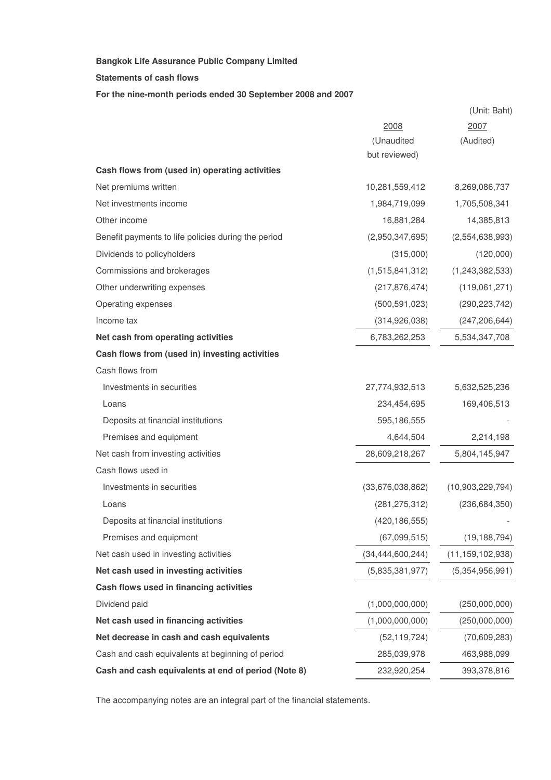**Statements of cash flows**

**For the nine-month periods ended 30 September 2008 and 2007**

|                                                     |                     | (Unit: Baht)        |
|-----------------------------------------------------|---------------------|---------------------|
|                                                     | 2008                | 2007                |
|                                                     | (Unaudited          | (Audited)           |
|                                                     | but reviewed)       |                     |
| Cash flows from (used in) operating activities      |                     |                     |
| Net premiums written                                | 10,281,559,412      | 8,269,086,737       |
| Net investments income                              | 1,984,719,099       | 1,705,508,341       |
| Other income                                        | 16,881,284          | 14,385,813          |
| Benefit payments to life policies during the period | (2,950,347,695)     | (2,554,638,993)     |
| Dividends to policyholders                          | (315,000)           | (120,000)           |
| Commissions and brokerages                          | (1,515,841,312)     | (1,243,382,533)     |
| Other underwriting expenses                         | (217, 876, 474)     | (119,061,271)       |
| Operating expenses                                  | (500, 591, 023)     | (290, 223, 742)     |
| Income tax                                          | (314, 926, 038)     | (247, 206, 644)     |
| Net cash from operating activities                  | 6,783,262,253       | 5,534,347,708       |
| Cash flows from (used in) investing activities      |                     |                     |
| Cash flows from                                     |                     |                     |
| Investments in securities                           | 27,774,932,513      | 5,632,525,236       |
| Loans                                               | 234,454,695         | 169,406,513         |
| Deposits at financial institutions                  | 595,186,555         |                     |
| Premises and equipment                              | 4,644,504           | 2,214,198           |
| Net cash from investing activities                  | 28,609,218,267      | 5,804,145,947       |
| Cash flows used in                                  |                     |                     |
| Investments in securities                           | (33,676,038,862)    | (10,903,229,794)    |
| Loans                                               | (281, 275, 312)     | (236, 684, 350)     |
| Deposits at financial institutions                  | (420, 186, 555)     |                     |
| Premises and equipment                              | (67,099,515)        | (19, 188, 794)      |
| Net cash used in investing activities               | (34, 444, 600, 244) | (11, 159, 102, 938) |
| Net cash used in investing activities               | (5,835,381,977)     | (5,354,956,991)     |
| Cash flows used in financing activities             |                     |                     |
| Dividend paid                                       | (1,000,000,000)     | (250,000,000)       |
| Net cash used in financing activities               | (1,000,000,000)     | (250,000,000)       |
| Net decrease in cash and cash equivalents           | (52, 119, 724)      | (70,609,283)        |
| Cash and cash equivalents at beginning of period    | 285,039,978         | 463,988,099         |
| Cash and cash equivalents at end of period (Note 8) | 232,920,254         | 393,378,816         |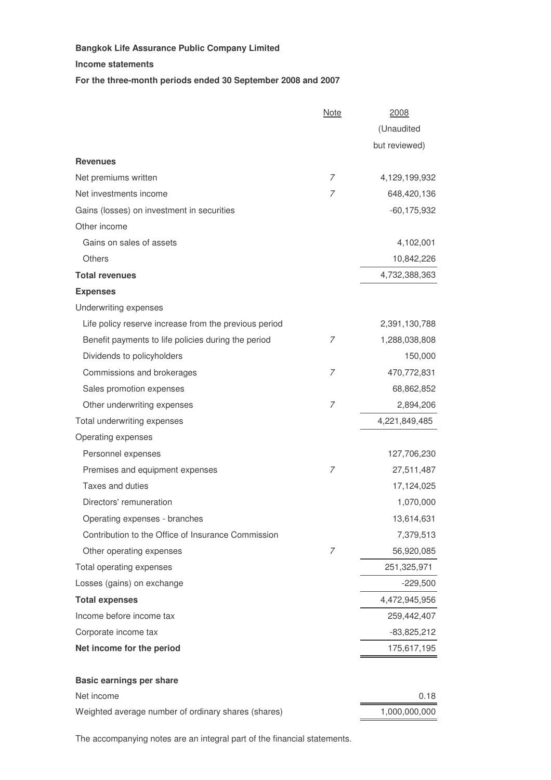**Income statements**

**For the three-month periods ended 30 September 2008 and 2007**

|                                                       | <b>Note</b>    | 2008            |
|-------------------------------------------------------|----------------|-----------------|
|                                                       |                | (Unaudited      |
|                                                       |                | but reviewed)   |
| <b>Revenues</b>                                       |                |                 |
| Net premiums written                                  | 7              | 4,129,199,932   |
| Net investments income                                | 7              | 648,420,136     |
| Gains (losses) on investment in securities            |                | $-60, 175, 932$ |
| Other income                                          |                |                 |
| Gains on sales of assets                              |                | 4,102,001       |
| <b>Others</b>                                         |                | 10,842,226      |
| <b>Total revenues</b>                                 |                | 4,732,388,363   |
| <b>Expenses</b>                                       |                |                 |
| Underwriting expenses                                 |                |                 |
| Life policy reserve increase from the previous period |                | 2,391,130,788   |
| Benefit payments to life policies during the period   | 7              | 1,288,038,808   |
| Dividends to policyholders                            |                | 150,000         |
| Commissions and brokerages                            | 7              | 470,772,831     |
| Sales promotion expenses                              |                | 68,862,852      |
| Other underwriting expenses                           | 7              | 2,894,206       |
| Total underwriting expenses                           |                | 4,221,849,485   |
| Operating expenses                                    |                |                 |
| Personnel expenses                                    |                | 127,706,230     |
| Premises and equipment expenses                       | 7              | 27,511,487      |
| Taxes and duties                                      |                | 17,124,025      |
| Directors' remuneration                               |                | 1,070,000       |
| Operating expenses - branches                         |                | 13,614,631      |
| Contribution to the Office of Insurance Commission    |                | 7,379,513       |
| Other operating expenses                              | $\overline{7}$ | 56,920,085      |
| Total operating expenses                              |                | 251,325,971     |
| Losses (gains) on exchange                            |                | $-229,500$      |
| <b>Total expenses</b>                                 |                | 4,472,945,956   |
| Income before income tax                              |                | 259,442,407     |
| Corporate income tax                                  |                | $-83,825,212$   |
| Net income for the period                             |                | 175,617,195     |
| <b>Basic earnings per share</b>                       |                |                 |
| Net income                                            |                | 0.18            |
| Weighted average number of ordinary shares (shares)   |                | 1,000,000,000   |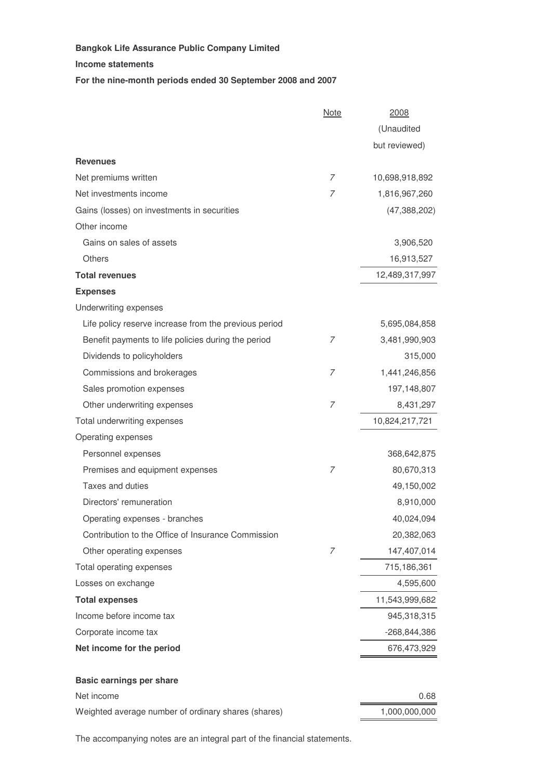**Income statements**

**For the nine-month periods ended 30 September 2008 and 2007**

|                                                       | <b>Note</b>    | 2008           |
|-------------------------------------------------------|----------------|----------------|
|                                                       |                | (Unaudited     |
|                                                       |                | but reviewed)  |
| <b>Revenues</b>                                       |                |                |
| Net premiums written                                  | 7              | 10,698,918,892 |
| Net investments income                                | 7              | 1,816,967,260  |
| Gains (losses) on investments in securities           |                | (47, 388, 202) |
| Other income                                          |                |                |
| Gains on sales of assets                              |                | 3,906,520      |
| <b>Others</b>                                         |                | 16,913,527     |
| <b>Total revenues</b>                                 |                | 12,489,317,997 |
| <b>Expenses</b>                                       |                |                |
| Underwriting expenses                                 |                |                |
| Life policy reserve increase from the previous period |                | 5,695,084,858  |
| Benefit payments to life policies during the period   | 7              | 3,481,990,903  |
| Dividends to policyholders                            |                | 315,000        |
| Commissions and brokerages                            | 7              | 1,441,246,856  |
| Sales promotion expenses                              |                | 197,148,807    |
| Other underwriting expenses                           | 7              | 8,431,297      |
| Total underwriting expenses                           |                | 10,824,217,721 |
| Operating expenses                                    |                |                |
| Personnel expenses                                    |                | 368,642,875    |
| Premises and equipment expenses                       | 7              | 80,670,313     |
| Taxes and duties                                      |                | 49,150,002     |
| Directors' remuneration                               |                | 8,910,000      |
| Operating expenses - branches                         |                | 40,024,094     |
| Contribution to the Office of Insurance Commission    |                | 20,382,063     |
| Other operating expenses                              | $\overline{7}$ | 147,407,014    |
| Total operating expenses                              |                | 715,186,361    |
| Losses on exchange                                    |                | 4,595,600      |
| <b>Total expenses</b>                                 |                | 11,543,999,682 |
| Income before income tax                              |                | 945,318,315    |
| Corporate income tax                                  |                | $-268,844,386$ |
| Net income for the period                             |                | 676,473,929    |
| <b>Basic earnings per share</b>                       |                |                |
| Net income                                            |                | 0.68           |
| Weighted average number of ordinary shares (shares)   |                | 1,000,000,000  |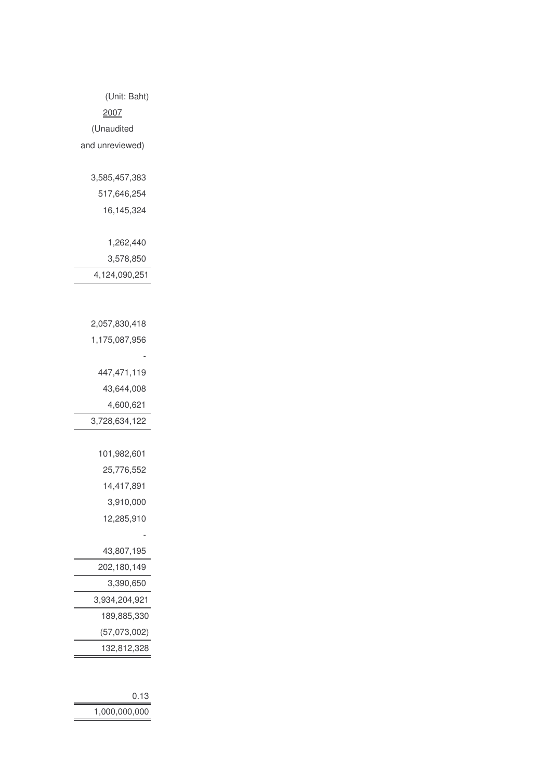| 0.13          |
|---------------|
| 1,000,000,000 |

| 447,471,119   |
|---------------|
| 43,644,008    |
| 4,600,621     |
| 3,728,634,122 |
|               |
| 101.982.601   |
| 25,776,552    |
| 14,417,891    |
| 3,910,000     |
| 12,285,910    |
|               |
| 43,807,195    |
| 202,180,149   |
| 3,390,650     |
| 3,934,204,921 |
| 189.885.330   |
| (57,073,002)  |
| 132,812,328   |

| 517,646,254   |
|---------------|
| 16,145,324    |
|               |
| 1,262,440     |
| 3,578,850     |
| 4,124,090,251 |

2,057,830,418 1,175,087,956

(Unit: Baht)

2007 (Unaudited and unreviewed)

3,585,457,383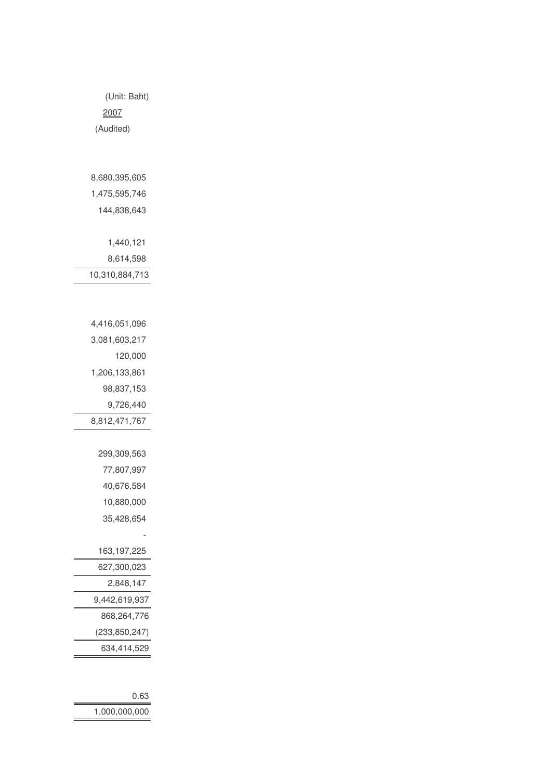| 0.63          |
|---------------|
| 1,000,000,000 |

| 120,000         |
|-----------------|
| 1,206,133,861   |
| 98,837,153      |
| 9,726,440       |
| 8,812,471,767   |
|                 |
| 299,309,563     |
| 77,807,997      |
| 40,676,584      |
| 10,880,000      |
| 35,428,654      |
|                 |
| 163, 197, 225   |
| 627,300,023     |
| 2,848,147       |
| 9,442,619,937   |
| 868,264,776     |
| (233, 850, 247) |
| 634,414,529     |

| 1,475,595,746  |
|----------------|
| 144.838.643    |
|                |
| 1.440.121      |
| 8,614,598      |
| 10,310,884,713 |

4,416,051,096 3,081,603,217

2007 (Audited)

8,680,395,605

(Unit: Baht)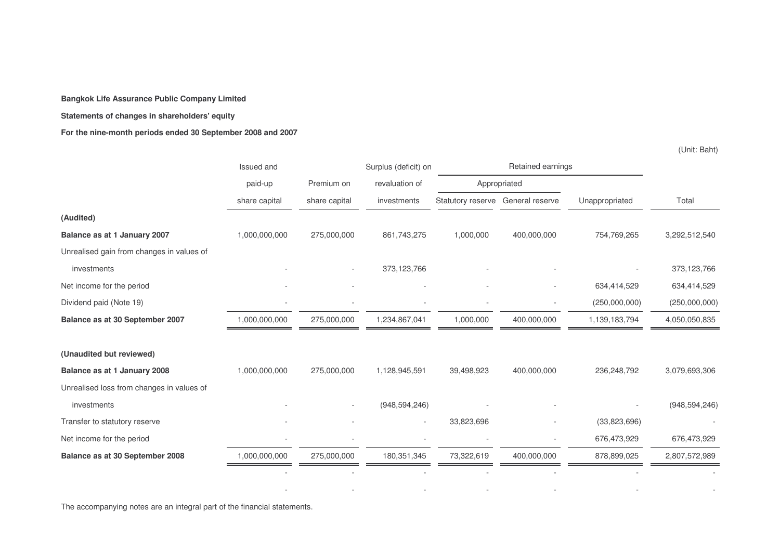#### **Statements of changes in shareholders' equity**

#### **For the nine-month periods ended 30 September 2008 and 2007**

(Unit: Baht)

|                                           | Issued and    |               | Surplus (deficit) on | Retained earnings                 |             |                |                 |
|-------------------------------------------|---------------|---------------|----------------------|-----------------------------------|-------------|----------------|-----------------|
|                                           | paid-up       | Premium on    | revaluation of       | Appropriated                      |             |                |                 |
|                                           | share capital | share capital | investments          | Statutory reserve General reserve |             | Unappropriated | Total           |
| (Audited)                                 |               |               |                      |                                   |             |                |                 |
| Balance as at 1 January 2007              | 1,000,000,000 | 275,000,000   | 861,743,275          | 1,000,000                         | 400,000,000 | 754,769,265    | 3,292,512,540   |
| Unrealised gain from changes in values of |               |               |                      |                                   |             |                |                 |
| investments                               |               |               | 373,123,766          |                                   |             |                | 373,123,766     |
| Net income for the period                 |               |               |                      |                                   |             | 634,414,529    | 634,414,529     |
| Dividend paid (Note 19)                   |               |               |                      |                                   |             | (250,000,000)  | (250,000,000)   |
| Balance as at 30 September 2007           | 1,000,000,000 | 275,000,000   | 1,234,867,041        | 1,000,000                         | 400,000,000 | 1,139,183,794  | 4,050,050,835   |
|                                           |               |               |                      |                                   |             |                |                 |
| (Unaudited but reviewed)                  |               |               |                      |                                   |             |                |                 |
| Balance as at 1 January 2008              | 1,000,000,000 | 275,000,000   | 1,128,945,591        | 39,498,923                        | 400,000,000 | 236,248,792    | 3,079,693,306   |
| Unrealised loss from changes in values of |               |               |                      |                                   |             |                |                 |
| investments                               |               |               | (948, 594, 246)      |                                   |             |                | (948, 594, 246) |
| Transfer to statutory reserve             |               |               |                      | 33,823,696                        |             | (33,823,696)   |                 |
| Net income for the period                 |               |               |                      |                                   |             | 676,473,929    | 676,473,929     |
| Balance as at 30 September 2008           | 1,000,000,000 | 275,000,000   | 180, 351, 345        | 73,322,619                        | 400,000,000 | 878,899,025    | 2,807,572,989   |
|                                           |               |               |                      |                                   |             |                |                 |
|                                           |               |               |                      |                                   |             |                |                 |

- - - - - -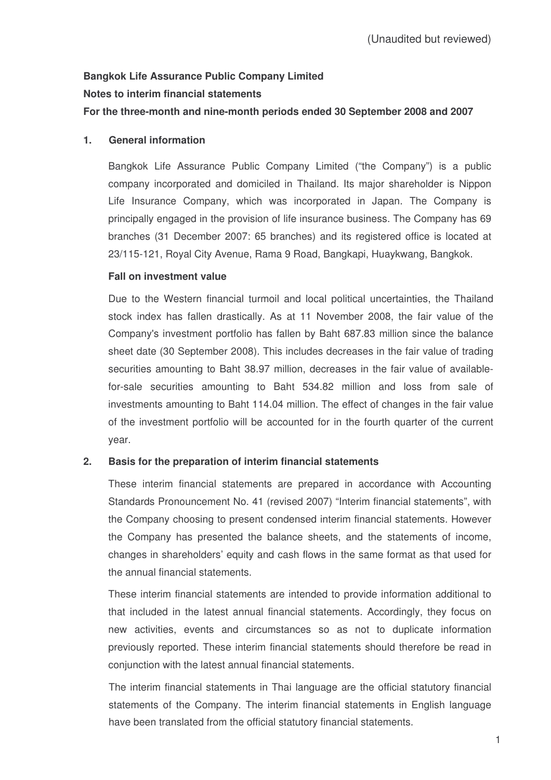# **Bangkok Life Assurance Public Company Limited Notes to interim financial statements For the three-month and nine-month periods ended 30 September 2008 and 2007**

## **1. General information**

Bangkok Life Assurance Public Company Limited ("the Company") is a public company incorporated and domiciled in Thailand. Its major shareholder is Nippon Life Insurance Company, which was incorporated in Japan. The Company is principally engaged in the provision of life insurance business. The Company has 69 branches (31 December 2007: 65 branches) and its registered office is located at 23/115-121, Royal City Avenue, Rama 9 Road, Bangkapi, Huaykwang, Bangkok.

#### **Fall on investment value**

Due to the Western financial turmoil and local political uncertainties, the Thailand stock index has fallen drastically. As at 11 November 2008, the fair value of the Company's investment portfolio has fallen by Baht 687.83 million since the balance sheet date (30 September 2008). This includes decreases in the fair value of trading securities amounting to Baht 38.97 million, decreases in the fair value of availablefor-sale securities amounting to Baht 534.82 million and loss from sale of investments amounting to Baht 114.04 million. The effect of changes in the fair value of the investment portfolio will be accounted for in the fourth quarter of the current year.

#### **2. Basis for the preparation of interim financial statements**

These interim financial statements are prepared in accordance with Accounting Standards Pronouncement No. 41 (revised 2007) "Interim financial statements", with the Company choosing to present condensed interim financial statements. However the Company has presented the balance sheets, and the statements of income, changes in shareholders' equity and cash flows in the same format as that used for the annual financial statements.

These interim financial statements are intended to provide information additional to that included in the latest annual financial statements. Accordingly, they focus on new activities, events and circumstances so as not to duplicate information previously reported. These interim financial statements should therefore be read in conjunction with the latest annual financial statements.

The interim financial statements in Thai language are the official statutory financial statements of the Company. The interim financial statements in English language have been translated from the official statutory financial statements.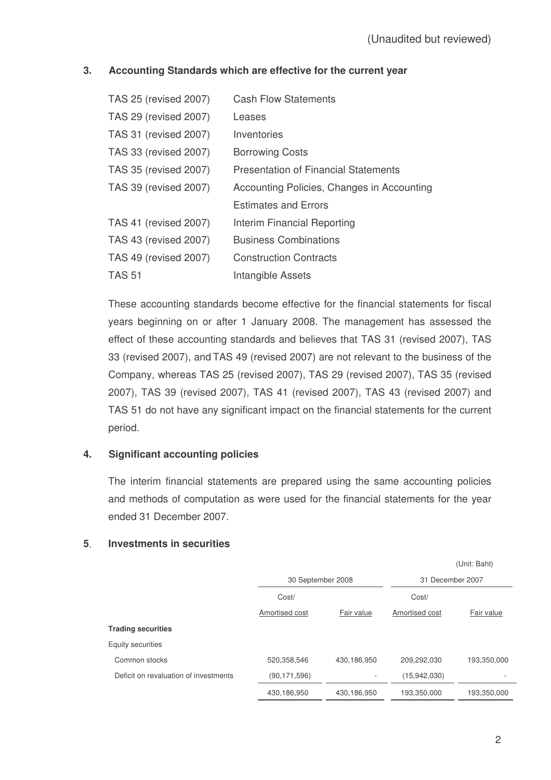# **3. Accounting Standards which are effective for the current year**

| TAS 25 (revised 2007)        | <b>Cash Flow Statements</b>                 |
|------------------------------|---------------------------------------------|
| TAS 29 (revised 2007)        | Leases                                      |
| TAS 31 (revised 2007)        | Inventories                                 |
| TAS 33 (revised 2007)        | <b>Borrowing Costs</b>                      |
| TAS 35 (revised 2007)        | <b>Presentation of Financial Statements</b> |
| TAS 39 (revised 2007)        | Accounting Policies, Changes in Accounting  |
|                              | <b>Estimates and Errors</b>                 |
| <b>TAS 41 (revised 2007)</b> | Interim Financial Reporting                 |
| TAS 43 (revised 2007)        | <b>Business Combinations</b>                |
| <b>TAS 49 (revised 2007)</b> | <b>Construction Contracts</b>               |
| <b>TAS 51</b>                | Intangible Assets                           |

These accounting standards become effective for the financial statements for fiscal years beginning on or after 1 January 2008. The management has assessed the effect of these accounting standards and believes that TAS 31 (revised 2007), TAS 33 (revised 2007), and TAS 49 (revised 2007) are not relevant to the business of the Company, whereas TAS 25 (revised 2007), TAS 29 (revised 2007), TAS 35 (revised 2007), TAS 39 (revised 2007), TAS 41 (revised 2007), TAS 43 (revised 2007) and TAS 51 do not have any significant impact on the financial statements for the current period.

# **4. Significant accounting policies**

The interim financial statements are prepared using the same accounting policies and methods of computation as were used for the financial statements for the year ended 31 December 2007.

# (Unit: Baht) 30 September 2008 31 December 2007 Cost/ Amortised cost Fair value Cost/ Amortised cost Fair value **Trading securities** Equity securities Common stocks 520,358,546 430,186,950 209,292,030 193,350,000 Deficit on revaluation of investments (90,171,596)  $(90,171,596)$  (15,942,030) 430,186,950 430,186,950 193,350,000 193,350,000

# **5 Investments in securities**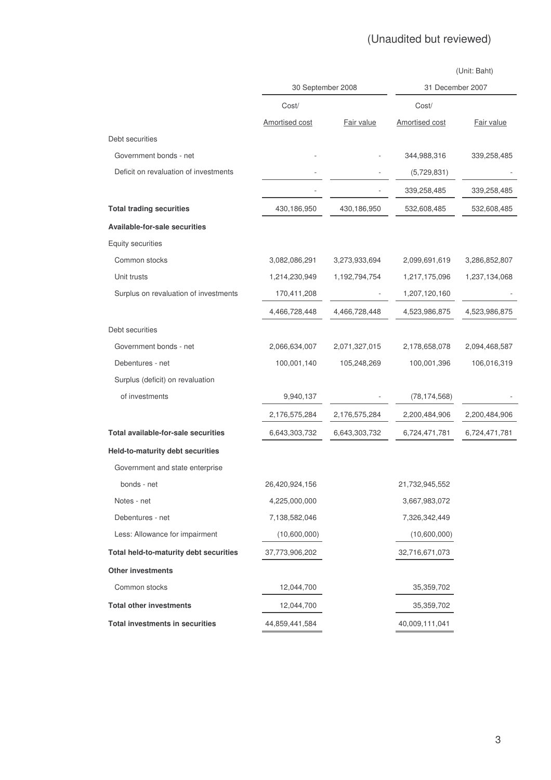# (Unaudited but reviewed)

|                                        |                   |               | (Unit: Baht)<br>31 December 2007 |               |  |
|----------------------------------------|-------------------|---------------|----------------------------------|---------------|--|
|                                        | 30 September 2008 |               |                                  |               |  |
|                                        | Cost/             |               | Cost/                            |               |  |
|                                        | Amortised cost    | Fair value    | Amortised cost                   | Fair value    |  |
| Debt securities                        |                   |               |                                  |               |  |
| Government bonds - net                 |                   |               | 344,988,316                      | 339,258,485   |  |
| Deficit on revaluation of investments  |                   |               | (5,729,831)                      |               |  |
|                                        |                   |               | 339,258,485                      | 339,258,485   |  |
| <b>Total trading securities</b>        | 430,186,950       | 430,186,950   | 532,608,485                      | 532,608,485   |  |
| <b>Available-for-sale securities</b>   |                   |               |                                  |               |  |
| Equity securities                      |                   |               |                                  |               |  |
| Common stocks                          | 3,082,086,291     | 3,273,933,694 | 2,099,691,619                    | 3,286,852,807 |  |
| Unit trusts                            | 1,214,230,949     | 1,192,794,754 | 1,217,175,096                    | 1,237,134,068 |  |
| Surplus on revaluation of investments  | 170,411,208       |               | 1,207,120,160                    |               |  |
|                                        | 4,466,728,448     | 4,466,728,448 | 4,523,986,875                    | 4,523,986,875 |  |
| Debt securities                        |                   |               |                                  |               |  |
| Government bonds - net                 | 2,066,634,007     | 2,071,327,015 | 2,178,658,078                    | 2,094,468,587 |  |
| Debentures - net                       | 100,001,140       | 105,248,269   | 100,001,396                      | 106,016,319   |  |
| Surplus (deficit) on revaluation       |                   |               |                                  |               |  |
| of investments                         | 9,940,137         |               | (78, 174, 568)                   |               |  |
|                                        | 2,176,575,284     | 2,176,575,284 | 2,200,484,906                    | 2,200,484,906 |  |
| Total available-for-sale securities    | 6,643,303,732     | 6,643,303,732 | 6,724,471,781                    | 6,724,471,781 |  |
| Held-to-maturity debt securities       |                   |               |                                  |               |  |
| Government and state enterprise        |                   |               |                                  |               |  |
| bonds - net                            | 26,420,924,156    |               | 21,732,945,552                   |               |  |
| Notes - net                            | 4,225,000,000     |               | 3,667,983,072                    |               |  |
| Debentures - net                       | 7,138,582,046     |               | 7,326,342,449                    |               |  |
| Less: Allowance for impairment         | (10,600,000)      |               | (10,600,000)                     |               |  |
| Total held-to-maturity debt securities | 37,773,906,202    |               | 32,716,671,073                   |               |  |
| Other investments                      |                   |               |                                  |               |  |
| Common stocks                          | 12,044,700        |               | 35,359,702                       |               |  |
| <b>Total other investments</b>         | 12,044,700        |               | 35,359,702                       |               |  |
| <b>Total investments in securities</b> | 44,859,441,584    |               | 40,009,111,041                   |               |  |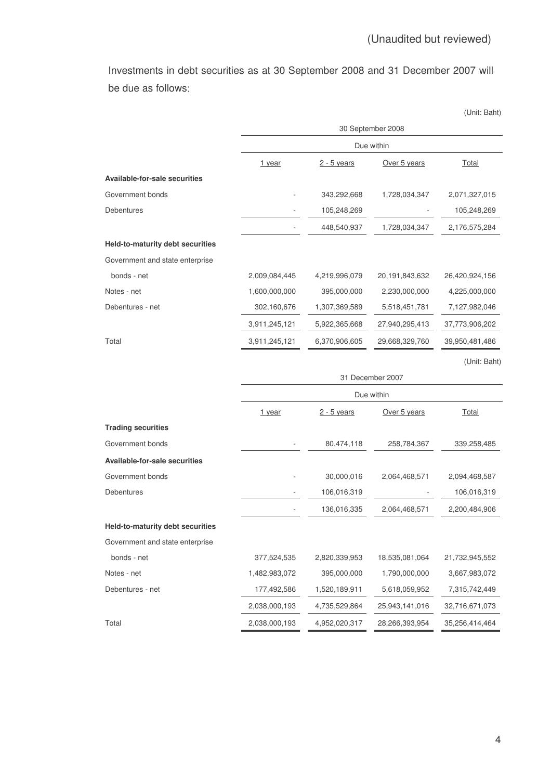Investments in debt securities as at 30 September 2008 and 31 December 2007 will be due as follows

|                                         |                  |               |                   | (Unit: Baht)   |  |  |  |  |
|-----------------------------------------|------------------|---------------|-------------------|----------------|--|--|--|--|
|                                         |                  |               | 30 September 2008 |                |  |  |  |  |
|                                         |                  |               | Due within        |                |  |  |  |  |
|                                         | 1 year           | $2 - 5$ years | Over 5 years      | <b>Total</b>   |  |  |  |  |
| Available-for-sale securities           |                  |               |                   |                |  |  |  |  |
| Government bonds                        |                  | 343,292,668   | 1,728,034,347     | 2,071,327,015  |  |  |  |  |
| Debentures                              |                  | 105,248,269   |                   | 105,248,269    |  |  |  |  |
|                                         |                  | 448,540,937   | 1,728,034,347     | 2,176,575,284  |  |  |  |  |
| <b>Held-to-maturity debt securities</b> |                  |               |                   |                |  |  |  |  |
| Government and state enterprise         |                  |               |                   |                |  |  |  |  |
| bonds - net                             | 2,009,084,445    | 4,219,996,079 | 20,191,843,632    | 26,420,924,156 |  |  |  |  |
| Notes - net                             | 1,600,000,000    | 395,000,000   | 2,230,000,000     | 4,225,000,000  |  |  |  |  |
| Debentures - net                        | 302,160,676      | 1,307,369,589 | 5,518,451,781     | 7,127,982,046  |  |  |  |  |
|                                         | 3,911,245,121    | 5,922,365,668 | 27,940,295,413    | 37,773,906,202 |  |  |  |  |
| Total                                   | 3,911,245,121    | 6,370,906,605 | 29,668,329,760    | 39,950,481,486 |  |  |  |  |
|                                         |                  |               |                   | (Unit: Baht)   |  |  |  |  |
|                                         | 31 December 2007 |               |                   |                |  |  |  |  |
|                                         |                  |               | Due within        |                |  |  |  |  |
|                                         | 1 year           | $2 - 5$ years | Over 5 years      | <b>Total</b>   |  |  |  |  |
| <b>Trading securities</b>               |                  |               |                   |                |  |  |  |  |
| Government bonds                        |                  | 80,474,118    | 258,784,367       | 339,258,485    |  |  |  |  |
| <b>Available-for-sale securities</b>    |                  |               |                   |                |  |  |  |  |
| Government bonds                        |                  | 30,000,016    | 2,064,468,571     | 2,094,468,587  |  |  |  |  |
| Debentures                              |                  | 106,016,319   |                   | 106,016,319    |  |  |  |  |
|                                         |                  | 136,016,335   | 2,064,468,571     | 2,200,484,906  |  |  |  |  |
| Held-to-maturity debt securities        |                  |               |                   |                |  |  |  |  |
| Government and state enterprise         |                  |               |                   |                |  |  |  |  |
| bonds - net                             | 377,524,535      | 2,820,339,953 | 18,535,081,064    | 21,732,945,552 |  |  |  |  |
| Notes - net                             | 1,482,983,072    | 395,000,000   | 1,790,000,000     | 3,667,983,072  |  |  |  |  |
| Debentures - net                        | 177,492,586      | 1,520,189,911 | 5,618,059,952     | 7,315,742,449  |  |  |  |  |
|                                         | 2,038,000,193    | 4,735,529,864 | 25,943,141,016    | 32,716,671,073 |  |  |  |  |
| Total                                   | 2,038,000,193    | 4,952,020,317 | 28,266,393,954    | 35,256,414,464 |  |  |  |  |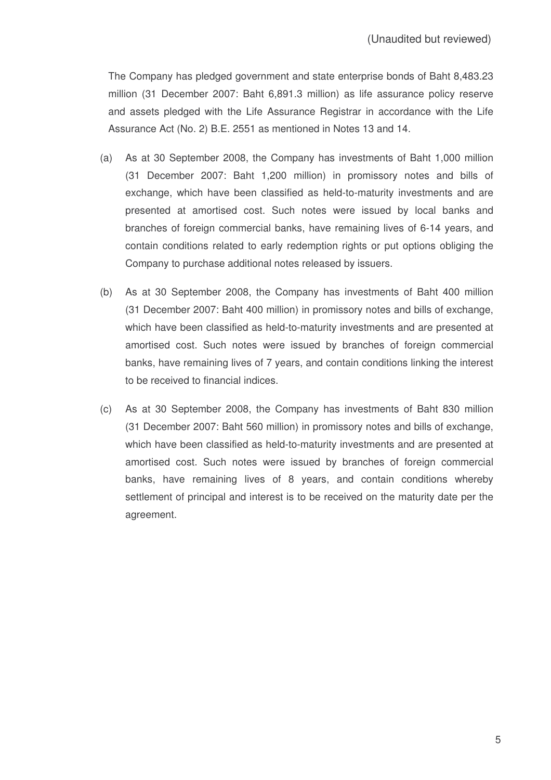The Company has pledged government and state enterprise bonds of Baht 8,483.23 million (31 December 2007: Baht 6,891.3 million) as life assurance policy reserve and assets pledged with the Life Assurance Registrar in accordance with the Life Assurance Act (No. 2) B.E. 2551 as mentioned in Notes 13 and 14.

- (a) As at 30 September 2008, the Company has investments of Baht 1,000 million (31 December 2007: Baht 1,200 million) in promissory notes and bills of exchange, which have been classified as held-to-maturity investments and are presented at amortised cost. Such notes were issued by local banks and branches of foreign commercial banks, have remaining lives of 6-14 years, and contain conditions related to early redemption rights or put options obliging the Company to purchase additional notes released by issuers.
- (b) As at 30 September 2008, the Company has investments of Baht 400 million (31 December 2007: Baht 400 million) in promissory notes and bills of exchange, which have been classified as held-to-maturity investments and are presented at amortised cost. Such notes were issued by branches of foreign commercial banks, have remaining lives of 7 years, and contain conditions linking the interest to be received to financial indices.
- (c) As at 30 September 2008, the Company has investments of Baht 830 million (31 December 2007: Baht 560 million) in promissory notes and bills of exchange, which have been classified as held-to-maturity investments and are presented at amortised cost. Such notes were issued by branches of foreign commercial banks, have remaining lives of 8 years, and contain conditions whereby settlement of principal and interest is to be received on the maturity date per the agreement.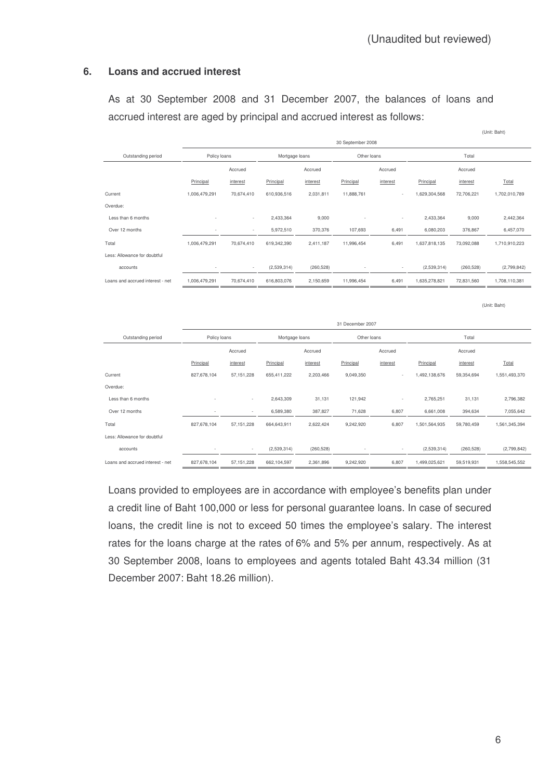#### **6. Loans and accrued interest**

As at 30 September 2008 and 31 December 2007, the balances of loans and accrued interest are aged by principal and accrued interest as follows:

|                                  |               |                          |                |            |             |                          |               |            | (Unit: Baht)  |
|----------------------------------|---------------|--------------------------|----------------|------------|-------------|--------------------------|---------------|------------|---------------|
|                                  |               | 30 September 2008        |                |            |             |                          |               |            |               |
| Outstanding period               | Policy loans  |                          | Mortgage loans |            | Other loans |                          |               | Total      |               |
|                                  |               | Accrued                  |                | Accrued    |             | Accrued                  |               | Accrued    |               |
|                                  | Principal     | interest                 | Principal      | interest   | Principal   | interest                 | Principal     | interest   | Total         |
| Current                          | 1,006,479,291 | 70,674,410               | 610,936,516    | 2,031,811  | 11,888,761  | $\overline{\phantom{a}}$ | 1,629,304,568 | 72,706,221 | 1,702,010,789 |
| Overdue:                         |               |                          |                |            |             |                          |               |            |               |
| Less than 6 months               |               | $\sim$                   | 2,433,364      | 9,000      | ٠           | $\overline{\phantom{a}}$ | 2,433,364     | 9,000      | 2,442,364     |
| Over 12 months                   |               | $\overline{\phantom{a}}$ | 5,972,510      | 370,376    | 107,693     | 6,491                    | 6,080,203     | 376,867    | 6,457,070     |
| Total                            | 1,006,479,291 | 70,674,410               | 619,342,390    | 2,411,187  | 11,996,454  | 6,491                    | 1,637,818,135 | 73,092,088 | 1,710,910,223 |
| Less: Allowance for doubtful     |               |                          |                |            |             |                          |               |            |               |
| accounts                         |               | $\sim$                   | (2,539,314)    | (260, 528) |             | $\overline{\phantom{a}}$ | (2,539,314)   | (260, 528) | (2,799,842)   |
| Loans and accrued interest - net | 1,006,479,291 | 70,674,410               | 616,803,076    | 2,150,659  | 11,996,454  | 6,491                    | 1,635,278,821 | 72,831,560 | 1,708,110,381 |
|                                  |               |                          |                |            |             |                          |               |            |               |

(Unit: Baht)

|                                  | 31 December 2007 |              |                |            |                          |                          |               |            |               |
|----------------------------------|------------------|--------------|----------------|------------|--------------------------|--------------------------|---------------|------------|---------------|
| Outstanding period               | Policy loans     |              | Mortgage loans |            | Other loans              |                          |               | Total      |               |
|                                  |                  | Accrued      |                | Accrued    |                          | Accrued                  |               | Accrued    |               |
|                                  | Principal        | interest     | Principal      | interest   | Principal                | interest                 | Principal     | interest   | Total         |
| Current                          | 827,678,104      | 57, 151, 228 | 655,411,222    | 2,203,466  | 9,049,350                | $\sim$                   | 1,492,138,676 | 59,354,694 | 1,551,493,370 |
| Overdue:                         |                  |              |                |            |                          |                          |               |            |               |
| Less than 6 months               | ٠                | $\sim$       | 2,643,309      | 31,131     | 121,942                  | $\overline{\phantom{a}}$ | 2,765,251     | 31,131     | 2,796,382     |
| Over 12 months                   | ٠                | $\sim$       | 6,589,380      | 387,827    | 71,628                   | 6,807                    | 6,661,008     | 394,634    | 7,055,642     |
| Total                            | 827,678,104      | 57, 151, 228 | 664,643,911    | 2,622,424  | 9,242,920                | 6,807                    | 1,501,564,935 | 59,780,459 | 1,561,345,394 |
| Less: Allowance for doubtful     |                  |              |                |            |                          |                          |               |            |               |
| accounts                         | ۰                | $\sim$       | (2,539,314)    | (260, 528) | $\overline{\phantom{a}}$ | $\overline{\phantom{a}}$ | (2,539,314)   | (260, 528) | (2,799,842)   |
| Loans and accrued interest - net | 827,678,104      | 57, 151, 228 | 662,104,597    | 2,361,896  | 9,242,920                | 6,807                    | 1,499,025,621 | 59,519,931 | 1,558,545,552 |

Loans provided to employees are in accordance with employee's benefits plan under a credit line of Baht 100,000 or less for personal guarantee loans. In case of secured loans, the credit line is not to exceed 50 times the employee's salary. The interest rates for the loans charge at the rates of 6% and 5% per annum, respectively. As at 30 September 2008, loans to employees and agents totaled Baht 43.34 million (31 December 2007: Baht 18.26 million).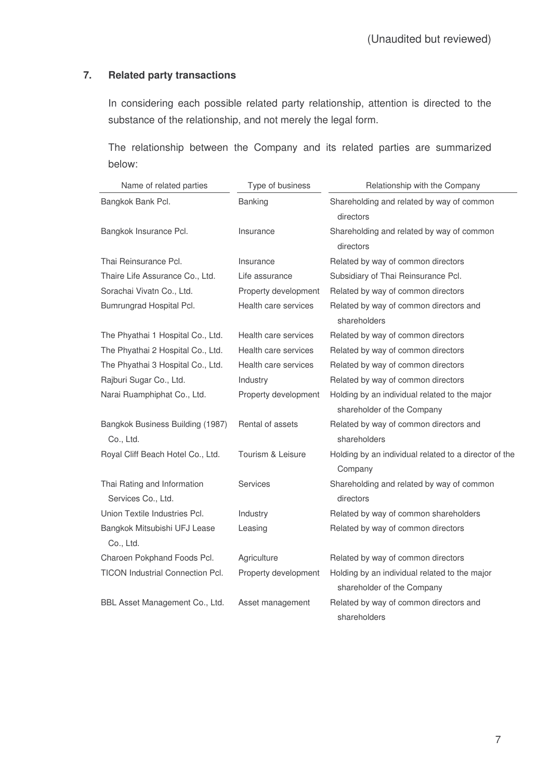# **7. Related party transactions**

In considering each possible related party relationship, attention is directed to the substance of the relationship, and not merely the legal form.

The relationship between the Company and its related parties are summarized below:

| Name of related parties                           | Type of business     | Relationship with the Company                          |
|---------------------------------------------------|----------------------|--------------------------------------------------------|
| Bangkok Bank Pcl.                                 | Banking              | Shareholding and related by way of common              |
|                                                   |                      | directors                                              |
| Bangkok Insurance Pcl.                            | Insurance            | Shareholding and related by way of common              |
|                                                   |                      | directors                                              |
| Thai Reinsurance Pcl.                             | Insurance            | Related by way of common directors                     |
| Thaire Life Assurance Co., Ltd.                   | Life assurance       | Subsidiary of Thai Reinsurance Pcl.                    |
| Sorachai Vivatn Co., Ltd.                         | Property development | Related by way of common directors                     |
| Bumrungrad Hospital Pcl.                          | Health care services | Related by way of common directors and                 |
|                                                   |                      | shareholders                                           |
| The Phyathai 1 Hospital Co., Ltd.                 | Health care services | Related by way of common directors                     |
| The Phyathai 2 Hospital Co., Ltd.                 | Health care services | Related by way of common directors                     |
| The Phyathai 3 Hospital Co., Ltd.                 | Health care services | Related by way of common directors                     |
| Rajburi Sugar Co., Ltd.                           | Industry             | Related by way of common directors                     |
| Narai Ruamphiphat Co., Ltd.                       | Property development | Holding by an individual related to the major          |
|                                                   |                      | shareholder of the Company                             |
| Bangkok Business Building (1987)                  | Rental of assets     | Related by way of common directors and                 |
| Co., Ltd.                                         |                      | shareholders                                           |
| Royal Cliff Beach Hotel Co., Ltd.                 | Tourism & Leisure    | Holding by an individual related to a director of the  |
|                                                   |                      | Company                                                |
| Thai Rating and Information<br>Services Co., Ltd. | Services             | Shareholding and related by way of common<br>directors |
| Union Textile Industries Pcl.                     | Industry             | Related by way of common shareholders                  |
| Bangkok Mitsubishi UFJ Lease                      | Leasing              | Related by way of common directors                     |
| Co., Ltd.                                         |                      |                                                        |
| Charoen Pokphand Foods Pcl.                       | Agriculture          | Related by way of common directors                     |
| <b>TICON Industrial Connection Pcl.</b>           | Property development | Holding by an individual related to the major          |
|                                                   |                      | shareholder of the Company                             |
| BBL Asset Management Co., Ltd.                    | Asset management     | Related by way of common directors and                 |
|                                                   |                      | shareholders                                           |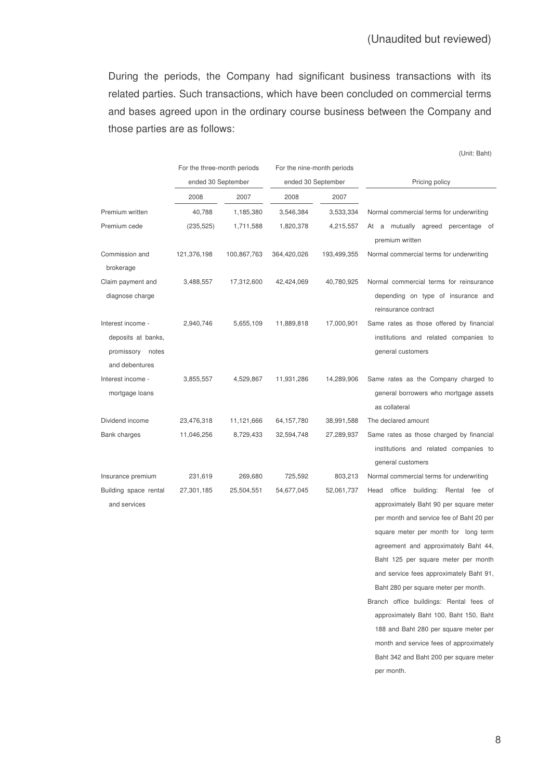(Unit: Baht)

During the periods, the Company had significant business transactions with its related parties. Such transactions, which have been concluded on commercial terms and bases agreed upon in the ordinary course business between the Company and those parties are as follows:

|                                                                               |             | For the three-month periods<br>ended 30 September |              | For the nine-month periods<br>ended 30 September | Pricing policy                                                                                                                                                                                                                                      |
|-------------------------------------------------------------------------------|-------------|---------------------------------------------------|--------------|--------------------------------------------------|-----------------------------------------------------------------------------------------------------------------------------------------------------------------------------------------------------------------------------------------------------|
|                                                                               | 2008        | 2007                                              | 2008         | 2007                                             |                                                                                                                                                                                                                                                     |
| Premium written                                                               | 40,788      | 1,185,380                                         | 3,546,384    | 3,533,334                                        | Normal commercial terms for underwriting                                                                                                                                                                                                            |
| Premium cede                                                                  | (235, 525)  | 1,711,588                                         | 1,820,378    | 4,215,557                                        | At a mutually agreed percentage of<br>premium written                                                                                                                                                                                               |
| Commission and<br>brokerage                                                   | 121,376,198 | 100,867,763                                       | 364,420,026  | 193,499,355                                      | Normal commercial terms for underwriting                                                                                                                                                                                                            |
| Claim payment and<br>diagnose charge                                          | 3,488,557   | 17,312,600                                        | 42,424,069   | 40,780,925                                       | Normal commercial terms for reinsurance<br>depending on type of insurance and<br>reinsurance contract                                                                                                                                               |
| Interest income -<br>deposits at banks,<br>promissory notes<br>and debentures | 2,940,746   | 5,655,109                                         | 11,889,818   | 17,000,901                                       | Same rates as those offered by financial<br>institutions and related companies to<br>general customers                                                                                                                                              |
| Interest income -<br>mortgage loans                                           | 3,855,557   | 4,529,867                                         | 11,931,286   | 14,289,906                                       | Same rates as the Company charged to<br>general borrowers who mortgage assets<br>as collateral                                                                                                                                                      |
| Dividend income                                                               | 23,476,318  | 11,121,666                                        | 64, 157, 780 | 38,991,588                                       | The declared amount                                                                                                                                                                                                                                 |
| <b>Bank charges</b>                                                           | 11,046,256  | 8,729,433                                         | 32,594,748   | 27,289,937                                       | Same rates as those charged by financial<br>institutions and related companies to<br>general customers                                                                                                                                              |
| Insurance premium                                                             | 231,619     | 269,680                                           | 725,592      | 803,213                                          | Normal commercial terms for underwriting                                                                                                                                                                                                            |
| Building space rental<br>and services                                         | 27,301,185  | 25,504,551                                        | 54,677,045   | 52,061,737                                       | office building: Rental fee of<br>Head<br>approximately Baht 90 per square meter<br>per month and service fee of Baht 20 per<br>square meter per month for long term<br>agreement and approximately Baht 44,<br>Baht 125 per square meter per month |
|                                                                               |             |                                                   |              |                                                  | and service fees approximately Baht 91,                                                                                                                                                                                                             |

Baht 280 per square meter per month. Branch office buildings: Rental fees of approximately Baht 100, Baht 150, Baht 188 and Baht 280 per square meter per month and service fees of approximately Baht 342 and Baht 200 per square meter per month.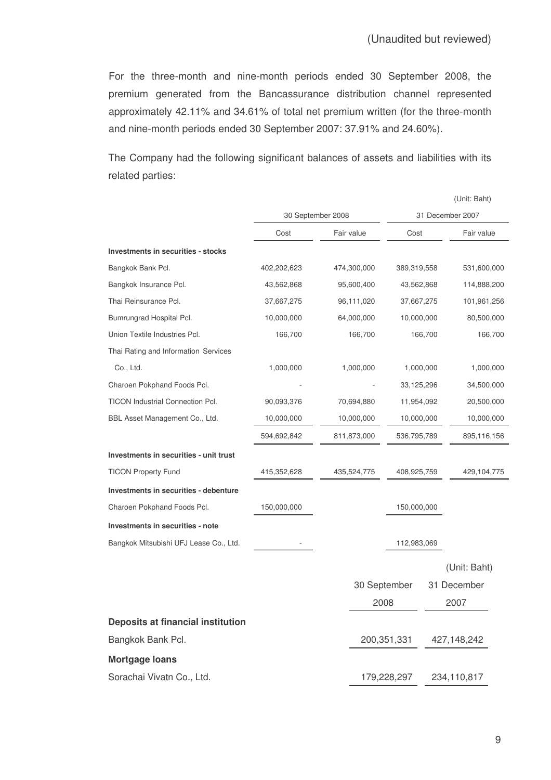For the three-month and nine-month periods ended 30 September 2008, the premium generated from the Bancassurance distribution channel represented approximately 42.11% and 34.61% of total net premium written (for the three-month and nine-month periods ended 30 September 2007: 37.91% and 24.60%).

The Company had the following significant balances of assets and liabilities with its related parties:

|                                         |             |                   |              |                  |           | (Unit: Baht) |
|-----------------------------------------|-------------|-------------------|--------------|------------------|-----------|--------------|
|                                         |             | 30 September 2008 |              | 31 December 2007 |           |              |
|                                         | Cost        | Fair value        |              | Cost             |           | Fair value   |
| Investments in securities - stocks      |             |                   |              |                  |           |              |
| Bangkok Bank Pcl.                       | 402,202,623 |                   | 474,300,000  | 389,319,558      |           | 531,600,000  |
| Bangkok Insurance Pcl.                  | 43,562,868  |                   | 95,600,400   | 43,562,868       |           | 114,888,200  |
| Thai Reinsurance Pcl.                   | 37,667,275  |                   | 96,111,020   | 37,667,275       |           | 101,961,256  |
| Bumrungrad Hospital Pcl.                | 10,000,000  |                   | 64,000,000   | 10,000,000       |           | 80,500,000   |
| Union Textile Industries Pcl.           | 166,700     |                   | 166,700      |                  | 166,700   | 166,700      |
| Thai Rating and Information Services    |             |                   |              |                  |           |              |
| Co., Ltd.                               | 1,000,000   |                   | 1,000,000    |                  | 1,000,000 | 1,000,000    |
| Charoen Pokphand Foods Pcl.             |             |                   |              | 33,125,296       |           | 34,500,000   |
| <b>TICON Industrial Connection Pcl.</b> | 90,093,376  |                   | 70,694,880   | 11,954,092       |           | 20,500,000   |
| BBL Asset Management Co., Ltd.          | 10,000,000  |                   | 10,000,000   | 10,000,000       |           | 10,000,000   |
|                                         | 594,692,842 |                   | 811,873,000  | 536,795,789      |           | 895,116,156  |
| Investments in securities - unit trust  |             |                   |              |                  |           |              |
| <b>TICON Property Fund</b>              | 415,352,628 |                   | 435,524,775  | 408,925,759      |           | 429,104,775  |
| Investments in securities - debenture   |             |                   |              |                  |           |              |
| Charoen Pokphand Foods Pcl.             | 150,000,000 |                   |              | 150,000,000      |           |              |
| Investments in securities - note        |             |                   |              |                  |           |              |
| Bangkok Mitsubishi UFJ Lease Co., Ltd.  |             |                   |              | 112,983,069      |           |              |
|                                         |             |                   |              |                  |           | (Unit: Baht) |
|                                         |             |                   | 30 September |                  |           | 31 December  |
|                                         |             |                   | 2008         |                  |           | 2007         |
| Deposits at financial institution       |             |                   |              |                  |           |              |
| Bangkok Bank Pcl.                       |             |                   |              | 200,351,331      |           | 427,148,242  |
| <b>Mortgage loans</b>                   |             |                   |              |                  |           |              |
| Sorachai Vivatn Co., Ltd.               |             |                   |              | 179,228,297      |           | 234,110,817  |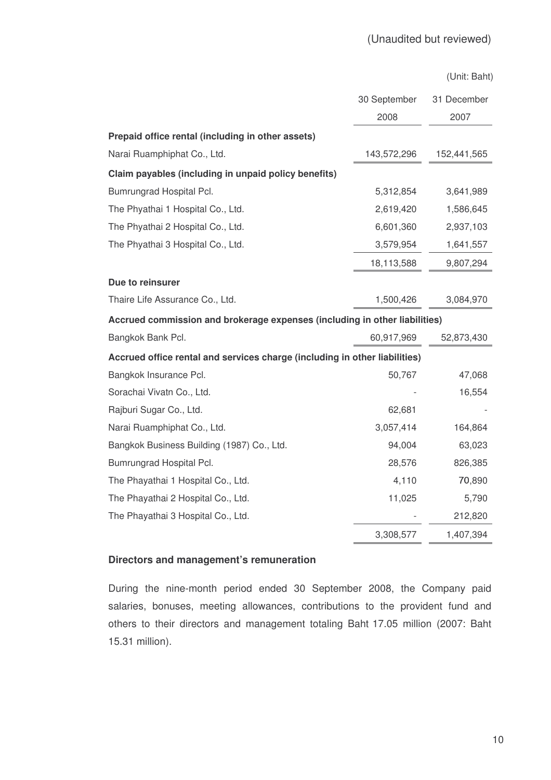(Unit: Baht)

|                                                                            | 30 September | 31 December |
|----------------------------------------------------------------------------|--------------|-------------|
|                                                                            | 2008         | 2007        |
| Prepaid office rental (including in other assets)                          |              |             |
| Narai Ruamphiphat Co., Ltd.                                                | 143,572,296  | 152,441,565 |
| Claim payables (including in unpaid policy benefits)                       |              |             |
| Bumrungrad Hospital Pcl.                                                   | 5,312,854    | 3,641,989   |
| The Phyathai 1 Hospital Co., Ltd.                                          | 2,619,420    | 1,586,645   |
| The Phyathai 2 Hospital Co., Ltd.                                          | 6,601,360    | 2,937,103   |
| The Phyathai 3 Hospital Co., Ltd.                                          | 3,579,954    | 1,641,557   |
|                                                                            | 18,113,588   | 9,807,294   |
| Due to reinsurer                                                           |              |             |
| Thaire Life Assurance Co., Ltd.                                            | 1,500,426    | 3,084,970   |
| Accrued commission and brokerage expenses (including in other liabilities) |              |             |
| Bangkok Bank Pcl.                                                          | 60,917,969   | 52,873,430  |
| Accrued office rental and services charge (including in other liabilities) |              |             |
| Bangkok Insurance Pcl.                                                     | 50,767       | 47,068      |
| Sorachai Vivatn Co., Ltd.                                                  |              | 16,554      |
| Rajburi Sugar Co., Ltd.                                                    | 62,681       |             |
| Narai Ruamphiphat Co., Ltd.                                                | 3,057,414    | 164,864     |
| Bangkok Business Building (1987) Co., Ltd.                                 | 94,004       | 63,023      |
| Bumrungrad Hospital Pcl.                                                   | 28,576       | 826,385     |
| The Phayathai 1 Hospital Co., Ltd.                                         | 4,110        | 70,890      |
| The Phayathai 2 Hospital Co., Ltd.                                         | 11,025       | 5,790       |
| The Phayathai 3 Hospital Co., Ltd.                                         |              | 212,820     |
|                                                                            | 3,308,577    | 1,407,394   |

#### **Directors and management's remuneration**

During the nine-month period ended 30 September 2008, the Company paid salaries, bonuses, meeting allowances, contributions to the provident fund and others to their directors and management totaling Baht 17.05 million (2007: Baht 15.31 million).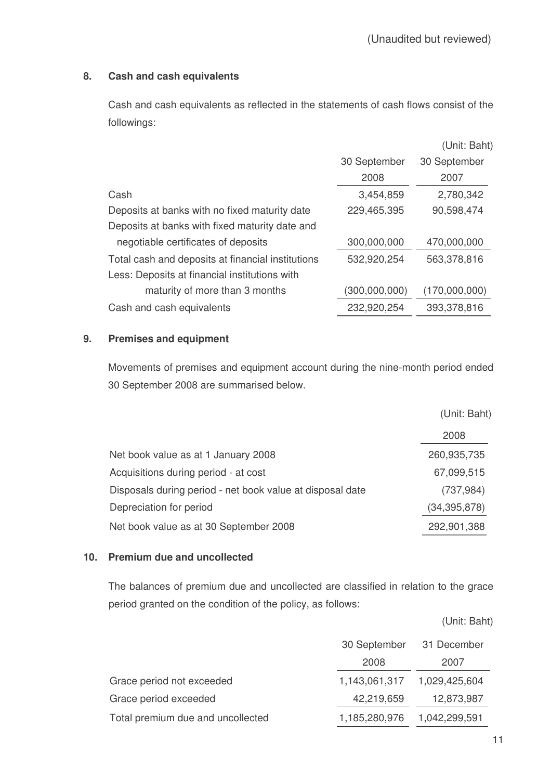# **8. Cash and cash equivalents**

Cash and cash equivalents as reflected in the statements of cash flows consist of the followings:

|                                                   |               | (Unit: Baht)  |
|---------------------------------------------------|---------------|---------------|
|                                                   | 30 September  | 30 September  |
|                                                   | 2008          | 2007          |
| Cash                                              | 3,454,859     | 2,780,342     |
| Deposits at banks with no fixed maturity date     | 229,465,395   | 90,598,474    |
| Deposits at banks with fixed maturity date and    |               |               |
| negotiable certificates of deposits               | 300,000,000   | 470,000,000   |
| Total cash and deposits at financial institutions | 532,920,254   | 563,378,816   |
| Less: Deposits at financial institutions with     |               |               |
| maturity of more than 3 months                    | (300,000,000) | (170,000,000) |
| Cash and cash equivalents                         | 232,920,254   | 393,378,816   |

#### **9. Premises and equipment**

Movements of premises and equipment account during the nine-month period ended 30 September 2008 are summarised below.

|                                                           | (Unit: Baht)   |
|-----------------------------------------------------------|----------------|
|                                                           | 2008           |
| Net book value as at 1 January 2008                       | 260,935,735    |
| Acquisitions during period - at cost                      | 67,099,515     |
| Disposals during period - net book value at disposal date | (737, 984)     |
| Depreciation for period                                   | (34, 395, 878) |
| Net book value as at 30 September 2008                    | 292,901,388    |

#### **10. Premium due and uncollected**

The balances of premium due and uncollected are classified in relation to the grace period granted on the condition of the policy, as follows:

(Unit: Baht)

|                                   | 30 September  | 31 December   |
|-----------------------------------|---------------|---------------|
|                                   | 2008          | 2007          |
| Grace period not exceeded         | 1,143,061,317 | 1,029,425,604 |
| Grace period exceeded             | 42,219,659    | 12,873,987    |
| Total premium due and uncollected | 1,185,280,976 | 1,042,299,591 |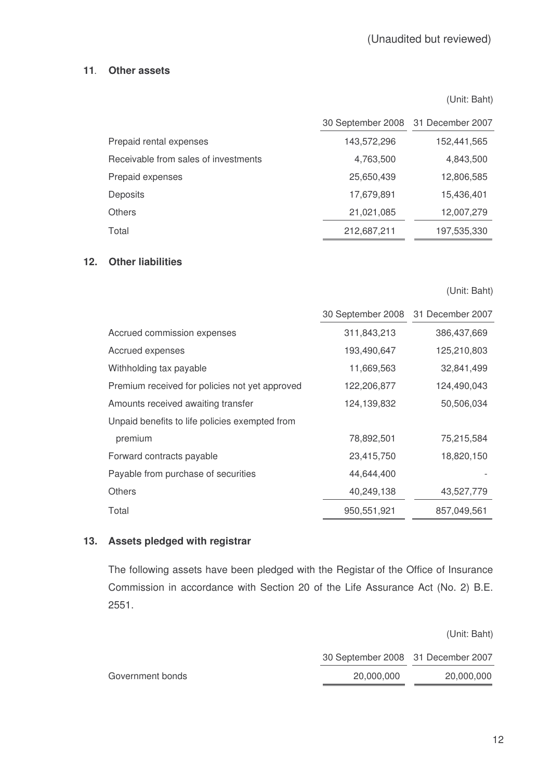#### **11 Other assets**

(Unit: Baht)

|                                      | 30 September 2008 31 December 2007 |             |
|--------------------------------------|------------------------------------|-------------|
| Prepaid rental expenses              | 143,572,296                        | 152,441,565 |
| Receivable from sales of investments | 4,763,500                          | 4,843,500   |
| Prepaid expenses                     | 25,650,439                         | 12,806,585  |
| <b>Deposits</b>                      | 17,679,891                         | 15.436.401  |
| <b>Others</b>                        | 21,021,085                         | 12,007,279  |
| Total                                | 212,687,211                        | 197,535,330 |

### **12. Other liabilities**

(Unit: Baht)

|                                                | 30 September 2008 | 31 December 2007 |
|------------------------------------------------|-------------------|------------------|
| Accrued commission expenses                    | 311,843,213       | 386,437,669      |
| Accrued expenses                               | 193,490,647       | 125,210,803      |
| Withholding tax payable                        | 11,669,563        | 32,841,499       |
| Premium received for policies not yet approved | 122,206,877       | 124,490,043      |
| Amounts received awaiting transfer             | 124,139,832       | 50,506,034       |
| Unpaid benefits to life policies exempted from |                   |                  |
| premium                                        | 78,892,501        | 75,215,584       |
| Forward contracts payable                      | 23,415,750        | 18,820,150       |
| Payable from purchase of securities            | 44,644,400        |                  |
| <b>Others</b>                                  | 40,249,138        | 43,527,779       |
| Total                                          | 950,551,921       | 857,049,561      |

#### **13. Assets pledged with registrar**

The following assets have been pledged with the Registar of the Office of Insurance Commission in accordance with Section 20 of the Life Assurance Act (No. 2) B.E. 2551.

(Unit: Baht) 30 September 2008 31 December 2007 Government bonds 20,000,000 20,000,000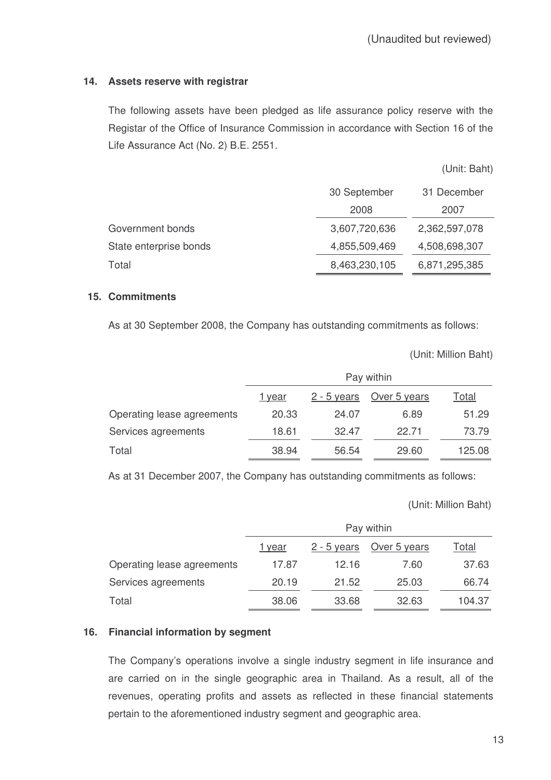### **14. Assets reserve with registrar**

The following assets have been pledged as life assurance policy reserve with the Registar of the Office of Insurance Commission in accordance with Section 16 of the Life Assurance Act (No. 2) B.E. 2551.

(Unit: Baht)

|                        | 30 September  | 31 December   |
|------------------------|---------------|---------------|
|                        | 2008          | 2007          |
| Government bonds       | 3,607,720,636 | 2,362,597,078 |
| State enterprise bonds | 4,855,509,469 | 4,508,698,307 |
| Total                  | 8,463,230,105 | 6,871,295,385 |

#### **15. Commitments**

As at 30 September 2008, the Company has outstanding commitments as follows:

(Unit: Million Baht)

|                            | Pay within    |               |              |               |
|----------------------------|---------------|---------------|--------------|---------------|
|                            | <u>1 year</u> | $2 - 5$ years | Over 5 years | <u> Total</u> |
| Operating lease agreements | 20.33         | 24.07         | 6.89         | 51.29         |
| Services agreements        | 18.61         | 32.47         | 22.71        | 73.79         |
| Total                      | 38.94         | 56.54         | 29.60        | 125.08        |

As at 31 December 2007, the Company has outstanding commitments as follows:

(Unit: Million Baht)

|                            | Pay within    |               |              |        |
|----------------------------|---------------|---------------|--------------|--------|
|                            | <u>1 year</u> | $2 - 5$ years | Over 5 years | Гоtal  |
| Operating lease agreements | 17.87         | 12.16         | 7.60         | 37.63  |
| Services agreements        | 20.19         | 21.52         | 25.03        | 66.74  |
| Total                      | 38.06         | 33.68         | 32.63        | 104.37 |

#### **16. Financial information by segment**

The Company's operations involve a single industry segment in life insurance and are carried on in the single geographic area in Thailand. As a result, all of the revenues, operating profits and assets as reflected in these financial statements pertain to the aforementioned industry segment and geographic area.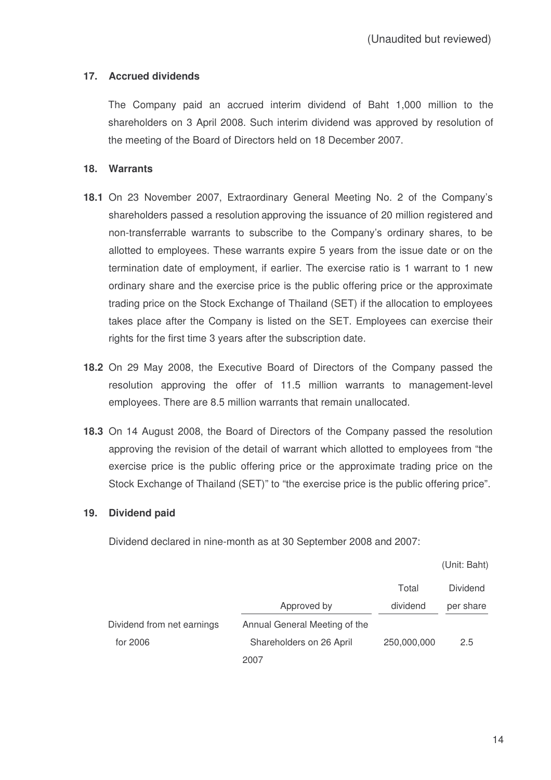# **17. Accrued dividends**

The Company paid an accrued interim dividend of Baht 1,000 million to the shareholders on 3 April 2008. Such interim dividend was approved by resolution of the meeting of the Board of Directors held on 18 December 2007.

## **18. Warrants**

- **18.1** On 23 November 2007, Extraordinary General Meeting No. 2 of the Company's shareholders passed a resolution approving the issuance of 20 million registered and non-transferrable warrants to subscribe to the Company's ordinary shares, to be allotted to employees. These warrants expire 5 years from the issue date or on the termination date of employment, if earlier. The exercise ratio is 1 warrant to 1 new ordinary share and the exercise price is the public offering price or the approximate trading price on the Stock Exchange of Thailand (SET) if the allocation to employees takes place after the Company is listed on the SET. Employees can exercise their rights for the first time 3 years after the subscription date.
- **18.2** On 29 May 2008, the Executive Board of Directors of the Company passed the resolution approving the offer of 11.5 million warrants to management-level employees. There are 8.5 million warrants that remain unallocated.
- **18.3** On 14 August 2008, the Board of Directors of the Company passed the resolution approving the revision of the detail of warrant which allotted to employees from "the exercise price is the public offering price or the approximate trading price on the Stock Exchange of Thailand (SET)" to "the exercise price is the public offering price".

#### **19. Dividend paid**

Dividend declared in nine-month as at 30 September 2008 and 2007:

(Unit: Baht)

|                            |                               | Total       | <b>Dividend</b> |
|----------------------------|-------------------------------|-------------|-----------------|
|                            | Approved by                   | dividend    | per share       |
| Dividend from net earnings | Annual General Meeting of the |             |                 |
| for 2006                   | Shareholders on 26 April      | 250,000,000 | 2.5             |
|                            | 2007                          |             |                 |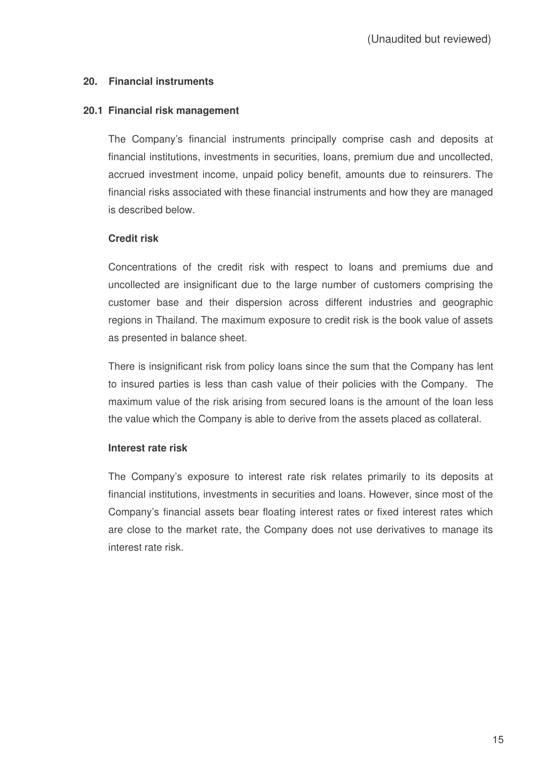### **20. Financial instruments**

#### **20.1 Financial risk management**

The Company's financial instruments principally comprise cash and deposits at financial institutions, investments in securities, loans, premium due and uncollected, accrued investment income, unpaid policy benefit, amounts due to reinsurers. The financial risks associated with these financial instruments and how they are managed is described below.

### **Credit risk**

Concentrations of the credit risk with respect to loans and premiums due and uncollected are insignificant due to the large number of customers comprising the customer base and their dispersion across different industries and geographic regions in Thailand. The maximum exposure to credit risk is the book value of assets as presented in balance sheet.

There is insignificant risk from policy loans since the sum that the Company has lent to insured parties is less than cash value of their policies with the Company. The maximum value of the risk arising from secured loans is the amount of the loan less the value which the Company is able to derive from the assets placed as collateral.

#### **Interest rate risk**

The Company's exposure to interest rate risk relates primarily to its deposits at financial institutions, investments in securities and loans. However, since most of the Company's financial assets bear floating interest rates or fixed interest rates which are close to the market rate, the Company does not use derivatives to manage its interest rate risk.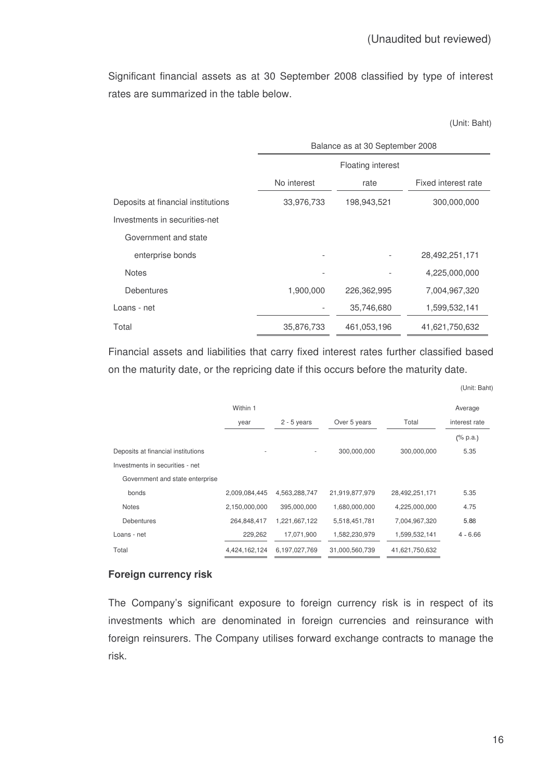Significant financial assets as at 30 September 2008 classified by type of interest rates are summarized in the table below.

(Unit: Baht)

|                                    | Balance as at 30 September 2008 |             |                     |  |  |
|------------------------------------|---------------------------------|-------------|---------------------|--|--|
|                                    | <b>Floating interest</b>        |             |                     |  |  |
|                                    | No interest                     | rate        | Fixed interest rate |  |  |
| Deposits at financial institutions | 33,976,733                      | 198,943,521 | 300,000,000         |  |  |
| Investments in securities-net      |                                 |             |                     |  |  |
| Government and state               |                                 |             |                     |  |  |
| enterprise bonds                   |                                 |             | 28,492,251,171      |  |  |
| <b>Notes</b>                       |                                 |             | 4,225,000,000       |  |  |
| Debentures                         | 1,900,000                       | 226,362,995 | 7,004,967,320       |  |  |
| Loans - net                        |                                 | 35,746,680  | 1,599,532,141       |  |  |
| Total                              | 35,876,733                      | 461,053,196 | 41,621,750,632      |  |  |

Financial assets and liabilities that carry fixed interest rates further classified based on the maturity date, or the repricing date if this occurs before the maturity date.

| (Unit: Baht) |  |
|--------------|--|
|--------------|--|

|                                    | Within 1      |               |                |                | Average       |
|------------------------------------|---------------|---------------|----------------|----------------|---------------|
|                                    | year          | $2 - 5$ years | Over 5 years   | Total          | interest rate |
|                                    |               |               |                |                | $(\%$ p.a.)   |
| Deposits at financial institutions |               | $\sim$        | 300,000,000    | 300,000,000    | 5.35          |
| Investments in securities - net    |               |               |                |                |               |
| Government and state enterprise    |               |               |                |                |               |
| bonds                              | 2,009,084,445 | 4,563,288,747 | 21,919,877,979 | 28,492,251,171 | 5.35          |
| <b>Notes</b>                       | 2,150,000,000 | 395,000,000   | 1,680,000,000  | 4,225,000,000  | 4.75          |
| <b>Debentures</b>                  | 264,848,417   | 1,221,667,122 | 5,518,451,781  | 7,004,967,320  | 5.88          |
| Loans - net                        | 229,262       | 17,071,900    | 1,582,230,979  | 1,599,532,141  | $4 - 6.66$    |
| Total                              | 4,424,162,124 | 6,197,027,769 | 31,000,560,739 | 41,621,750,632 |               |

#### **Foreign currency risk**

The Company's significant exposure to foreign currency risk is in respect of its investments which are denominated in foreign currencies and reinsurance with foreign reinsurers. The Company utilises forward exchange contracts to manage the risk.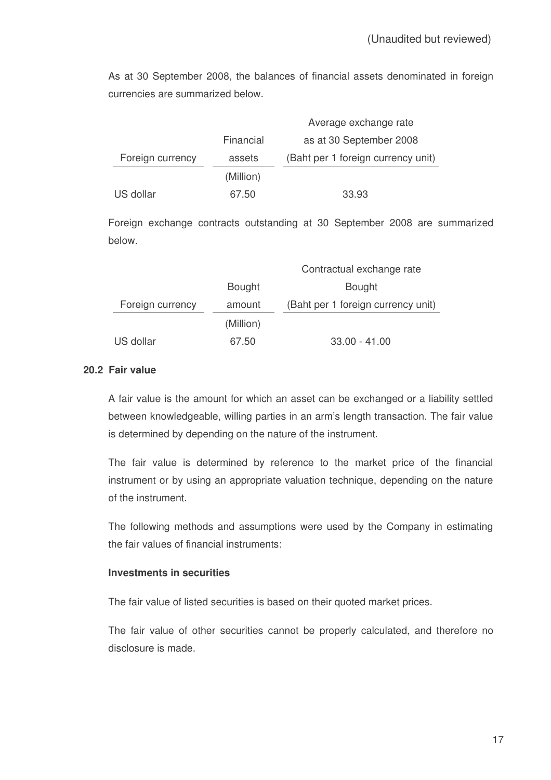As at 30 September 2008, the balances of financial assets denominated in foreign currencies are summarized below.

|                  |           | Average exchange rate              |
|------------------|-----------|------------------------------------|
|                  | Financial | as at 30 September 2008            |
| Foreign currency | assets    | (Baht per 1 foreign currency unit) |
|                  | (Million) |                                    |
| US dollar        | 67.50     | 33.93                              |

Foreign exchange contracts outstanding at 30 September 2008 are summarized below.

|                  |               | Contractual exchange rate          |
|------------------|---------------|------------------------------------|
|                  | <b>Bought</b> | <b>Bought</b>                      |
| Foreign currency | amount        | (Baht per 1 foreign currency unit) |
|                  | (Million)     |                                    |
| US dollar        | 67.50         | $33.00 - 41.00$                    |

### **20.2 Fair value**

A fair value is the amount for which an asset can be exchanged or a liability settled between knowledgeable, willing parties in an arm's length transaction. The fair value is determined by depending on the nature of the instrument.

The fair value is determined by reference to the market price of the financial instrument or by using an appropriate valuation technique, depending on the nature of the instrument.

The following methods and assumptions were used by the Company in estimating the fair values of financial instruments:

# **Investments in securities**

The fair value of listed securities is based on their quoted market prices.

The fair value of other securities cannot be properly calculated, and therefore no disclosure is made.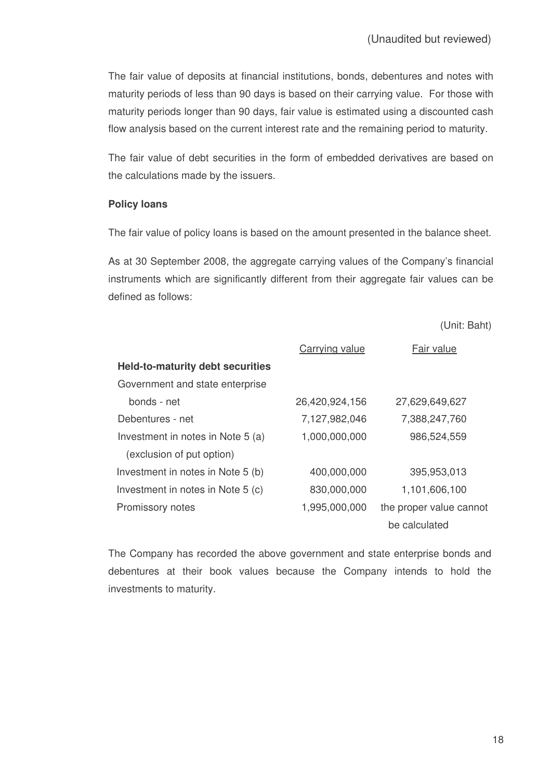The fair value of deposits at financial institutions, bonds, debentures and notes with maturity periods of less than 90 days is based on their carrying value. For those with maturity periods longer than 90 days, fair value is estimated using a discounted cash flow analysis based on the current interest rate and the remaining period to maturity.

The fair value of debt securities in the form of embedded derivatives are based on the calculations made by the issuers.

#### **Policy loans**

The fair value of policy loans is based on the amount presented in the balance sheet.

As at 30 September 2008, the aggregate carrying values of the Company's financial instruments which are significantly different from their aggregate fair values can be defined as follows:

(Unit: Baht)

|                                         | Carrying value | Fair value              |
|-----------------------------------------|----------------|-------------------------|
| <b>Held-to-maturity debt securities</b> |                |                         |
| Government and state enterprise         |                |                         |
| bonds - net                             | 26,420,924,156 | 27,629,649,627          |
| Debentures - net                        | 7,127,982,046  | 7,388,247,760           |
| Investment in notes in Note 5 (a)       | 1,000,000,000  | 986,524,559             |
| (exclusion of put option)               |                |                         |
| Investment in notes in Note 5 (b)       | 400,000,000    | 395,953,013             |
| Investment in notes in Note 5 (c)       | 830,000,000    | 1,101,606,100           |
| Promissory notes                        | 1,995,000,000  | the proper value cannot |
|                                         |                | be calculated           |

The Company has recorded the above government and state enterprise bonds and debentures at their book values because the Company intends to hold the investments to maturity.